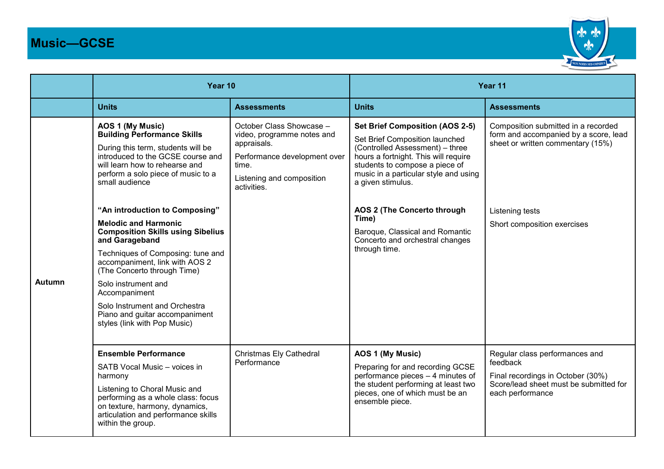## **Music—GCSE**



|        | Year 10                                                                                                                                                                                                                                                                                                                                                                      |                                                                                                                                                            | Year 11                                                                                                                                                                                                                                             |                                                                                                                                               |
|--------|------------------------------------------------------------------------------------------------------------------------------------------------------------------------------------------------------------------------------------------------------------------------------------------------------------------------------------------------------------------------------|------------------------------------------------------------------------------------------------------------------------------------------------------------|-----------------------------------------------------------------------------------------------------------------------------------------------------------------------------------------------------------------------------------------------------|-----------------------------------------------------------------------------------------------------------------------------------------------|
|        | <b>Units</b>                                                                                                                                                                                                                                                                                                                                                                 | <b>Assessments</b>                                                                                                                                         | <b>Units</b>                                                                                                                                                                                                                                        | <b>Assessments</b>                                                                                                                            |
| Autumn | AOS 1 (My Music)<br><b>Building Performance Skills</b><br>During this term, students will be<br>introduced to the GCSE course and<br>will learn how to rehearse and<br>perform a solo piece of music to a<br>small audience                                                                                                                                                  | October Class Showcase -<br>video, programme notes and<br>appraisals.<br>Performance development over<br>time.<br>Listening and composition<br>activities. | <b>Set Brief Composition (AOS 2-5)</b><br>Set Brief Composition launched<br>(Controlled Assessment) - three<br>hours a fortnight. This will require<br>students to compose a piece of<br>music in a particular style and using<br>a given stimulus. | Composition submitted in a recorded<br>form and accompanied by a score, lead<br>sheet or written commentary (15%)                             |
|        | "An introduction to Composing"<br><b>Melodic and Harmonic</b><br><b>Composition Skills using Sibelius</b><br>and Garageband<br>Techniques of Composing: tune and<br>accompaniment, link with AOS 2<br>(The Concerto through Time)<br>Solo instrument and<br>Accompaniment<br>Solo Instrument and Orchestra<br>Piano and guitar accompaniment<br>styles (link with Pop Music) |                                                                                                                                                            | AOS 2 (The Concerto through<br>Time)<br>Baroque, Classical and Romantic<br>Concerto and orchestral changes<br>through time.                                                                                                                         | Listening tests<br>Short composition exercises                                                                                                |
|        | <b>Ensemble Performance</b><br>SATB Vocal Music - voices in<br>harmony<br>Listening to Choral Music and<br>performing as a whole class: focus<br>on texture, harmony, dynamics,<br>articulation and performance skills<br>within the group.                                                                                                                                  | Christmas Ely Cathedral<br>Performance                                                                                                                     | AOS 1 (My Music)<br>Preparing for and recording GCSE<br>performance pieces - 4 minutes of<br>the student performing at least two<br>pieces, one of which must be an<br>ensemble piece.                                                              | Regular class performances and<br>feedback<br>Final recordings in October (30%)<br>Score/lead sheet must be submitted for<br>each performance |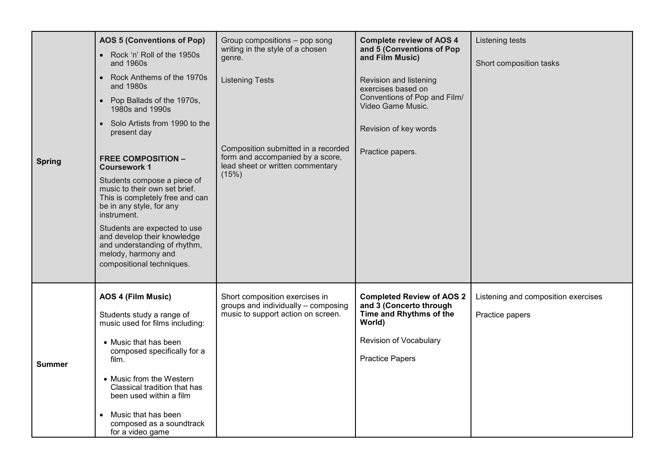| <b>Spring</b> | <b>AOS 5 (Conventions of Pop)</b>                                                                                                               | Group compositions - pop song<br>writing in the style of a chosen<br>genre.                                 | <b>Complete review of AOS 4</b><br>and 5 (Conventions of Pop<br>and Film Music)                  | Listening tests                     |
|---------------|-------------------------------------------------------------------------------------------------------------------------------------------------|-------------------------------------------------------------------------------------------------------------|--------------------------------------------------------------------------------------------------|-------------------------------------|
|               | • Rock 'n' Roll of the 1950s<br>and 1960s                                                                                                       |                                                                                                             |                                                                                                  | Short composition tasks             |
|               | • Rock Anthems of the 1970s<br>and 1980s                                                                                                        | <b>Listening Tests</b>                                                                                      | Revision and listening<br>exercises based on                                                     |                                     |
|               | • Pop Ballads of the 1970s,<br>1980s and 1990s                                                                                                  |                                                                                                             | Conventions of Pop and Film/<br>Video Game Music.                                                |                                     |
|               | • Solo Artists from 1990 to the<br>present day                                                                                                  |                                                                                                             | Revision of key words                                                                            |                                     |
|               | <b>FREE COMPOSITION -</b><br><b>Coursework 1</b>                                                                                                | Composition submitted in a recorded<br>form and accompanied by a score,<br>lead sheet or written commentary | Practice papers.                                                                                 |                                     |
|               | Students compose a piece of<br>music to their own set brief.<br>This is completely free and can<br>be in any style, for any<br>instrument.      | (15%)                                                                                                       |                                                                                                  |                                     |
|               | Students are expected to use<br>and develop their knowledge<br>and understanding of rhythm,<br>melody, harmony and<br>compositional techniques. |                                                                                                             |                                                                                                  |                                     |
| <b>Summer</b> | AOS 4 (Film Music)                                                                                                                              | Short composition exercises in<br>groups and individually - composing<br>music to support action on screen. | <b>Completed Review of AOS 2</b><br>and 3 (Concerto through<br>Time and Rhythms of the<br>World) | Listening and composition exercises |
|               | Students study a range of<br>music used for films including:                                                                                    |                                                                                                             |                                                                                                  | Practice papers                     |
|               | • Music that has been                                                                                                                           |                                                                                                             | Revision of Vocabulary                                                                           |                                     |
|               | composed specifically for a<br>film.                                                                                                            |                                                                                                             | <b>Practice Papers</b>                                                                           |                                     |
|               | • Music from the Western<br>Classical tradition that has<br>been used within a film                                                             |                                                                                                             |                                                                                                  |                                     |
|               | Music that has been<br>$\bullet$<br>composed as a soundtrack<br>for a video game                                                                |                                                                                                             |                                                                                                  |                                     |